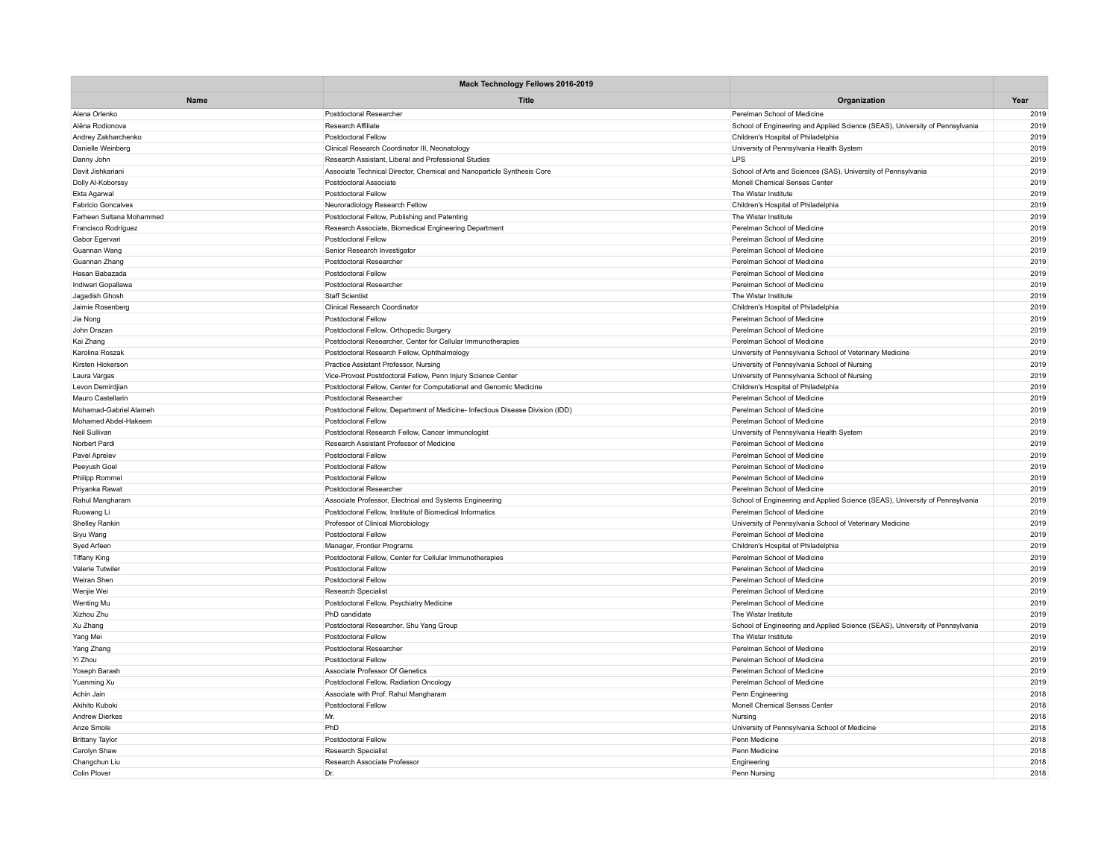|                                         | Mack Technology Fellows 2016-2019                                               |                                                                              |              |
|-----------------------------------------|---------------------------------------------------------------------------------|------------------------------------------------------------------------------|--------------|
| Name                                    | <b>Title</b>                                                                    | Organization                                                                 | Year         |
| Alena Orlenko                           | Postdoctoral Researcher                                                         | Perelman School of Medicine                                                  | 2019         |
| Alëna Rodionova                         | Research Affiliate                                                              | School of Engineering and Applied Science (SEAS), University of Pennsylvania | 2019         |
| Andrey Zakharchenko                     | Postdoctoral Fellow                                                             | Children's Hospital of Philadelphia                                          | 2019         |
| Danielle Weinberg                       | Clinical Research Coordinator III, Neonatology                                  | University of Pennsylvania Health System                                     | 2019         |
| Danny John                              | Research Assistant, Liberal and Professional Studies                            | <b>LPS</b>                                                                   | 2019         |
| Davit Jishkariani                       | Associate Technical Director, Chemical and Nanoparticle Synthesis Core          | School of Arts and Sciences (SAS), University of Pennsylvania                | 2019         |
| Dolly Al-Koborssy                       | Postdoctoral Associate                                                          | Monell Chemical Senses Center                                                | 2019         |
| Ekta Agarwal                            | Postdoctoral Fellow                                                             | The Wistar Institute                                                         | 2019         |
| <b>Fabricio Goncalves</b>               | Neuroradiology Research Fellow                                                  | Children's Hospital of Philadelphia                                          | 2019         |
| Farheen Sultana Mohammed                | Postdoctoral Fellow, Publishing and Patenting                                   | The Wistar Institute                                                         | 2019         |
| Francisco Rodríguez                     | Research Associate, Biomedical Engineering Department                           | Perelman School of Medicine                                                  | 2019         |
| Gabor Egervari                          | <b>Postdoctoral Fellow</b>                                                      | Perelman School of Medicine                                                  | 2019         |
| Guannan Wang                            | Senior Research Investigator                                                    | Perelman School of Medicine                                                  | 2019         |
| Guannan Zhang                           | Postdoctoral Researcher                                                         | Perelman School of Medicine                                                  | 2019         |
| Hasan Babazada                          | Postdoctoral Fellow                                                             | Perelman School of Medicine                                                  | 2019         |
| Indiwari Gopallawa                      | Postdoctoral Researcher                                                         | Perelman School of Medicine                                                  | 2019         |
| Jagadish Ghosh                          | <b>Staff Scientist</b>                                                          | The Wistar Institute                                                         | 2019         |
| Jaimie Rosenberg                        | <b>Clinical Research Coordinator</b>                                            | Children's Hospital of Philadelphia                                          | 2019         |
| Jia Nong                                | <b>Postdoctoral Fellow</b>                                                      | Perelman School of Medicine                                                  | 2019         |
| John Drazan                             | Postdoctoral Fellow, Orthopedic Surgery                                         | Perelman School of Medicine                                                  | 2019         |
| Kai Zhang                               | Postdoctoral Researcher, Center for Cellular Immunotherapies                    | Perelman School of Medicine                                                  | 2019         |
| Karolina Roszak                         | Postdoctoral Research Fellow, Ophthalmology                                     | University of Pennsylvania School of Veterinary Medicine                     | 2019         |
| Kirsten Hickerson                       | Practice Assistant Professor, Nursing                                           | University of Pennsylvania School of Nursing                                 | 2019         |
| Laura Vargas                            | Vice-Provost Postdoctoral Fellow, Penn Injury Science Center                    | University of Pennsylvania School of Nursing                                 | 2019         |
| Levon Demirdjian                        | Postdoctoral Fellow, Center for Computational and Genomic Medicine              | Children's Hospital of Philadelphia                                          | 2019         |
| Mauro Castellarin                       | Postdoctoral Researcher                                                         | Perelman School of Medicine                                                  | 2019         |
| Mohamad-Gabriel Alameh                  | Postdoctoral Fellow, Department of Medicine- Infectious Disease Division (IDD)  | Perelman School of Medicine                                                  | 2019         |
| Mohamed Abdel-Hakeem                    | Postdoctoral Fellow                                                             | Perelman School of Medicine                                                  | 2019         |
| Neil Sullivan                           | Postdoctoral Research Fellow, Cancer Immunologist                               | University of Pennsylvania Health System                                     | 2019         |
| Norbert Pardi                           | Research Assistant Professor of Medicine                                        | Perelman School of Medicine                                                  | 2019         |
| Pavel Aprelev                           | Postdoctoral Fellow                                                             | Perelman School of Medicine                                                  | 2019         |
| Peeyush Goel                            | Postdoctoral Fellow                                                             | Perelman School of Medicine                                                  | 2019         |
| Philipp Rommel                          | Postdoctoral Fellow                                                             | Perelman School of Medicine                                                  | 2019         |
| Priyanka Rawat                          | Postdoctoral Researcher                                                         | Perelman School of Medicine                                                  | 2019         |
| Rahul Mangharam                         | Associate Professor, Electrical and Systems Engineering                         | School of Engineering and Applied Science (SEAS), University of Pennsylvania | 2019         |
| Ruowang Li                              | Postdoctoral Fellow, Institute of Biomedical Informatics                        | Perelman School of Medicine                                                  | 2019         |
| <b>Shelley Rankin</b>                   | Professor of Clinical Microbiology                                              | University of Pennsylvania School of Veterinary Medicine                     | 2019         |
| Siyu Wang                               | <b>Postdoctoral Fellow</b>                                                      | Perelman School of Medicine                                                  | 2019         |
| Syed Arfeen                             | Manager, Frontier Programs                                                      | Children's Hospital of Philadelphia                                          | 2019         |
| <b>Tiffany King</b>                     | Postdoctoral Fellow, Center for Cellular Immunotherapies                        | Perelman School of Medicine                                                  | 2019         |
| Valerie Tutwiler                        | Postdoctoral Fellow                                                             | Perelman School of Medicine                                                  | 2019         |
| Weiran Shen                             | Postdoctoral Fellow                                                             | Perelman School of Medicine                                                  | 2019         |
| Wenjie Wei                              | <b>Research Specialist</b>                                                      | Perelman School of Medicine                                                  | 2019         |
| Wenting Mu                              | Postdoctoral Fellow, Psychiatry Medicine                                        | Perelman School of Medicine                                                  | 2019         |
| Xizhou Zhu                              | PhD candidate                                                                   | The Wistar Institute                                                         | 2019         |
| Xu Zhang                                | Postdoctoral Researcher, Shu Yang Group                                         | School of Engineering and Applied Science (SEAS), University of Pennsylvania | 2019         |
|                                         | Postdoctoral Fellow                                                             | The Wistar Institute                                                         | 2019         |
| Yang Mei<br>Yang Zhang                  | Postdoctoral Researcher                                                         | Perelman School of Medicine                                                  | 2019         |
| Yi Zhou                                 | <b>Postdoctoral Fellow</b>                                                      | Perelman School of Medicine                                                  | 2019         |
| Yoseph Barash                           | Associate Professor Of Genetics                                                 | Perelman School of Medicine                                                  | 2019         |
|                                         |                                                                                 |                                                                              |              |
| Yuanming Xu<br>Achin Jain               | Postdoctoral Fellow, Radiation Oncology<br>Associate with Prof. Rahul Mangharam | Perelman School of Medicine<br>Penn Engineering                              | 2019<br>2018 |
|                                         |                                                                                 |                                                                              | 2018         |
| Akihito Kuboki<br><b>Andrew Dierkes</b> | Postdoctoral Fellow<br>Mr.                                                      | Monell Chemical Senses Center                                                | 2018         |
|                                         |                                                                                 | Nursing                                                                      |              |
| Anze Smole                              | PhD                                                                             | University of Pennsylvania School of Medicine                                | 2018         |
| <b>Brittany Taylor</b>                  | Postdoctoral Fellow                                                             | Penn Medicine                                                                | 2018         |
| Carolyn Shaw                            | Research Specialist                                                             | Penn Medicine                                                                | 2018         |
| Changchun Liu                           | Research Associate Professor                                                    | Engineering                                                                  | 2018         |
| <b>Colin Plover</b>                     | Dr.                                                                             | Penn Nursing                                                                 | 2018         |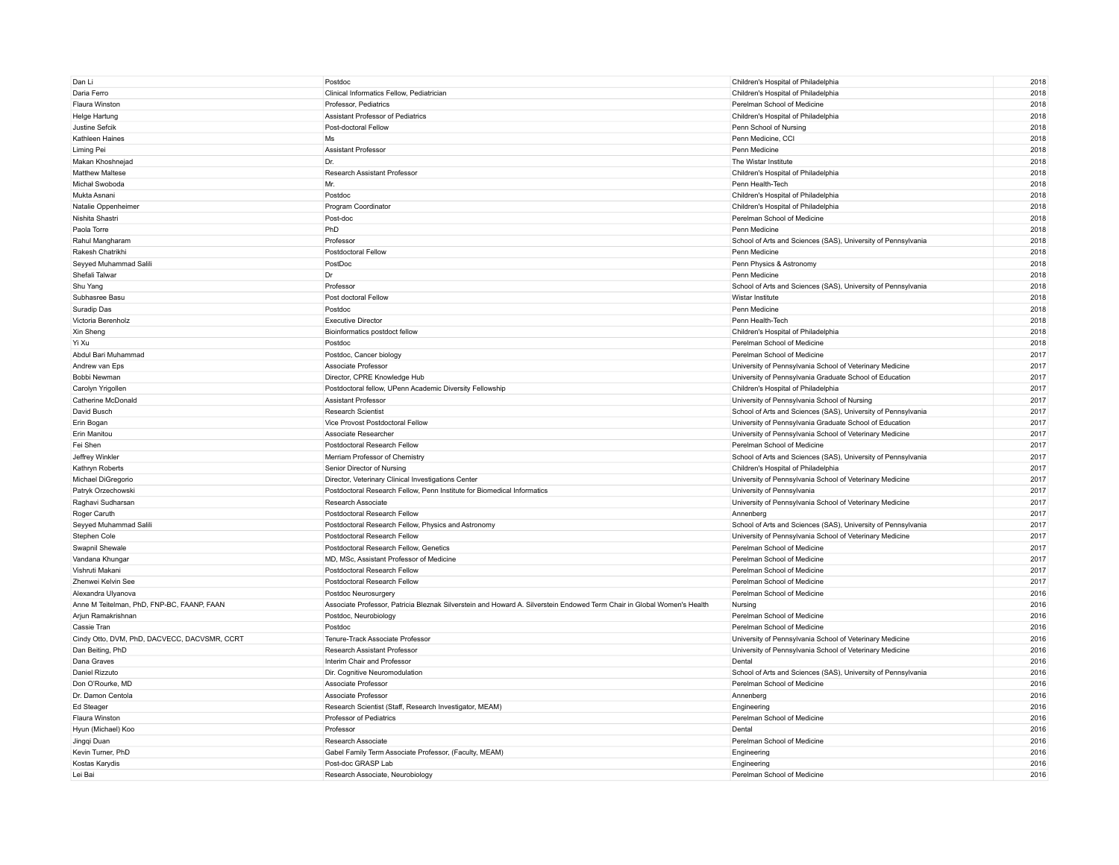| Dan Li                                       | Postdoc                                                                                                                 | Children's Hospital of Philadelphia                           | 2018 |
|----------------------------------------------|-------------------------------------------------------------------------------------------------------------------------|---------------------------------------------------------------|------|
| Daria Ferro                                  | Clinical Informatics Fellow, Pediatrician                                                                               | Children's Hospital of Philadelphia                           | 2018 |
| Flaura Winston                               | Professor, Pediatrics                                                                                                   | Perelman School of Medicine                                   | 2018 |
| Helge Hartung                                | Assistant Professor of Pediatrics                                                                                       | Children's Hospital of Philadelphia                           | 2018 |
| Justine Sefcik                               | Post-doctoral Fellow                                                                                                    | Penn School of Nursing                                        | 2018 |
| Kathleen Haines                              | Ms                                                                                                                      | Penn Medicine, CCI                                            | 2018 |
| Liming Pei                                   | <b>Assistant Professor</b>                                                                                              | Penn Medicine                                                 | 2018 |
| Makan Khoshnejad                             | Dr.                                                                                                                     | The Wistar Institute                                          | 2018 |
| <b>Matthew Maltese</b>                       | Research Assistant Professor                                                                                            | Children's Hospital of Philadelphia                           | 2018 |
| Michał Swoboda                               | Mr.                                                                                                                     | Penn Health-Tech                                              | 2018 |
|                                              |                                                                                                                         |                                                               | 2018 |
| Mukta Asnani                                 | Postdoc                                                                                                                 | Children's Hospital of Philadelphia                           |      |
| Natalie Oppenheimer                          | Program Coordinator                                                                                                     | Children's Hospital of Philadelphia                           | 2018 |
| Nishita Shastri                              | Post-doc                                                                                                                | Perelman School of Medicine                                   | 2018 |
| Paola Torre                                  | PhD                                                                                                                     | Penn Medicine                                                 | 2018 |
| Rahul Mangharam                              | Professor                                                                                                               | School of Arts and Sciences (SAS), University of Pennsylvania | 2018 |
| Rakesh Chatrikhi                             | Postdoctoral Fellow                                                                                                     | Penn Medicine                                                 | 2018 |
| Seyyed Muhammad Salili                       | PostDoc                                                                                                                 | Penn Physics & Astronomy                                      | 2018 |
| Shefali Talwar                               | Dr                                                                                                                      | Penn Medicine                                                 | 2018 |
| Shu Yang                                     | Professor                                                                                                               | School of Arts and Sciences (SAS), University of Pennsylvania | 2018 |
| Subhasree Basu                               | Post doctoral Fellow                                                                                                    | Wistar Institute                                              | 2018 |
| Suradip Das                                  | Postdoc                                                                                                                 | Penn Medicine                                                 | 2018 |
| Victoria Berenholz                           | <b>Executive Director</b>                                                                                               | Penn Health-Tech                                              | 2018 |
| Xin Sheng                                    | Bioinformatics postdoct fellow                                                                                          | Children's Hospital of Philadelphia                           | 2018 |
| Yi Xu                                        | Postdoc                                                                                                                 | Perelman School of Medicine                                   | 2018 |
| Abdul Bari Muhammad                          | Postdoc, Cancer biology                                                                                                 | Perelman School of Medicine                                   | 2017 |
| Andrew van Eps                               | Associate Professor                                                                                                     | University of Pennsylvania School of Veterinary Medicine      | 2017 |
| Bobbi Newman                                 | Director, CPRE Knowledge Hub                                                                                            | University of Pennsylvania Graduate School of Education       | 2017 |
|                                              | Postdoctoral fellow, UPenn Academic Diversity Fellowship                                                                | Children's Hospital of Philadelphia                           | 2017 |
| Carolyn Yrigollen<br>Catherine McDonald      | Assistant Professor                                                                                                     | University of Pennsylvania School of Nursing                  | 2017 |
|                                              |                                                                                                                         |                                                               |      |
| David Busch                                  | <b>Research Scientist</b>                                                                                               | School of Arts and Sciences (SAS), University of Pennsylvania | 2017 |
| Erin Bogan                                   | Vice Provost Postdoctoral Fellow                                                                                        | University of Pennsylvania Graduate School of Education       | 2017 |
| Erin Manitou                                 | Associate Researcher                                                                                                    | University of Pennsylvania School of Veterinary Medicine      | 2017 |
| Fei Shen                                     | Postdoctoral Research Fellow                                                                                            | Perelman School of Medicine                                   | 2017 |
| Jeffrey Winkler                              | Merriam Professor of Chemistry                                                                                          | School of Arts and Sciences (SAS), University of Pennsylvania | 2017 |
| Kathryn Roberts                              | Senior Director of Nursing                                                                                              | Children's Hospital of Philadelphia                           | 2017 |
| Michael DiGregorio                           | Director, Veterinary Clinical Investigations Center                                                                     | University of Pennsylvania School of Veterinary Medicine      | 2017 |
| Patryk Orzechowski                           | Postdoctoral Research Fellow, Penn Institute for Biomedical Informatics                                                 | University of Pennsylvania                                    | 2017 |
| Raghavi Sudharsan                            | Research Associate                                                                                                      | University of Pennsylvania School of Veterinary Medicine      | 2017 |
| Roger Caruth                                 | Postdoctoral Research Fellow                                                                                            | Annenberg                                                     | 2017 |
| Seyyed Muhammad Salili                       | Postdoctoral Research Fellow, Physics and Astronomy                                                                     | School of Arts and Sciences (SAS), University of Pennsylvania | 2017 |
| Stephen Cole                                 | Postdoctoral Research Fellow                                                                                            | University of Pennsylvania School of Veterinary Medicine      | 2017 |
| Swapnil Shewale                              | Postdoctoral Research Fellow, Genetics                                                                                  | Perelman School of Medicine                                   | 2017 |
| Vandana Khungar                              | MD, MSc, Assistant Professor of Medicine                                                                                | Perelman School of Medicine                                   | 2017 |
| Vishruti Makani                              | Postdoctoral Research Fellow                                                                                            | Perelman School of Medicine                                   | 2017 |
| Zhenwei Kelvin See                           | Postdoctoral Research Fellow                                                                                            | Perelman School of Medicine                                   | 2017 |
| Alexandra Ulyanova                           | Postdoc Neurosurgery                                                                                                    | Perelman School of Medicine                                   | 2016 |
| Anne M Teitelman, PhD, FNP-BC, FAANP, FAAN   | Associate Professor, Patricia Bleznak Silverstein and Howard A. Silverstein Endowed Term Chair in Global Women's Health | Nursing                                                       | 2016 |
| Arjun Ramakrishnan                           | Postdoc, Neurobiology                                                                                                   | Perelman School of Medicine                                   | 2016 |
| Cassie Tran                                  | Postdoc                                                                                                                 | Perelman School of Medicine                                   | 2016 |
| Cindy Otto, DVM, PhD, DACVECC, DACVSMR, CCRT | Tenure-Track Associate Professor                                                                                        | University of Pennsylvania School of Veterinary Medicine      | 2016 |
| Dan Beiting, PhD                             | <b>Research Assistant Professor</b>                                                                                     | University of Pennsylvania School of Veterinary Medicine      | 2016 |
| Dana Graves                                  | Interim Chair and Professor                                                                                             | Dental                                                        | 2016 |
|                                              |                                                                                                                         |                                                               |      |
| Daniel Rizzuto                               | Dir. Cognitive Neuromodulation                                                                                          | School of Arts and Sciences (SAS), University of Pennsylvania | 2016 |
| Don O'Rourke, MD                             | Associate Professor                                                                                                     | Perelman School of Medicine                                   | 2016 |
| Dr. Damon Centola                            | Associate Professor                                                                                                     | Annenberg                                                     | 2016 |
| Ed Steager                                   | Research Scientist (Staff, Research Investigator, MEAM)                                                                 | Engineering                                                   | 2016 |
| Flaura Winston                               | Professor of Pediatrics                                                                                                 | Perelman School of Medicine                                   | 2016 |
| Hyun (Michael) Koo                           | Professor                                                                                                               | Dental                                                        | 2016 |
| Jingqi Duan                                  | Research Associate                                                                                                      | Perelman School of Medicine                                   | 2016 |
| Kevin Turner, PhD                            | Gabel Family Term Associate Professor, (Faculty, MEAM)                                                                  | Engineering                                                   | 2016 |
| Kostas Karydis                               | Post-doc GRASP Lab                                                                                                      | Engineering                                                   | 2016 |
| Lei Bai                                      | Research Associate, Neurobiology                                                                                        | Perelman School of Medicine                                   | 2016 |